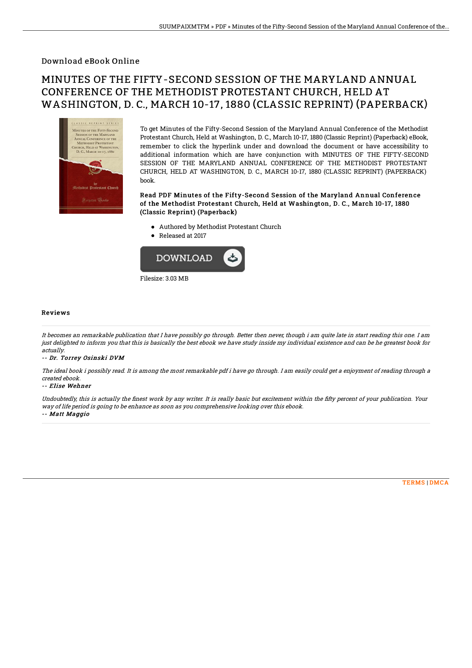### Download eBook Online

# MINUTES OF THE FIFTY-SECOND SESSION OF THE MARYLAND ANNUAL CONFERENCE OF THE METHODIST PROTESTANT CHURCH, HELD AT WASHINGTON, D. C., MARCH 10-17, 1880 (CLASSIC REPRINT) (PAPERBACK)



To get Minutes of the Fifty-Second Session of the Maryland Annual Conference of the Methodist Protestant Church, Held at Washington, D. C., March 10-17, 1880 (Classic Reprint) (Paperback) eBook, remember to click the hyperlink under and download the document or have accessibility to additional information which are have conjunction with MINUTES OF THE FIFTY-SECOND SESSION OF THE MARYLAND ANNUAL CONFERENCE OF THE METHODIST PROTESTANT CHURCH, HELD AT WASHINGTON, D. C., MARCH 10-17, 1880 (CLASSIC REPRINT) (PAPERBACK) book.

Read PDF Minutes of the Fifty-Second Session of the Maryland Annual Conference of the Methodist Protestant Church, Held at Washington, D. C., March 10-17, 1880 (Classic Reprint) (Paperback)

- Authored by Methodist Protestant Church
- Released at 2017



#### Reviews

It becomes an remarkable publication that I have possibly go through. Better then never, though i am quite late in start reading this one. I am just delighted to inform you that this is basically the best ebook we have study inside my individual existence and can be he greatest book for actually.

-- Dr. Torrey Osinski DVM

The ideal book i possibly read. It is among the most remarkable pdf i have go through. I am easily could get <sup>a</sup> enjoyment of reading through <sup>a</sup> created ebook.

#### -- Elise Wehner

Undoubtedly, this is actually the finest work by any writer. It is really basic but excitement within the fifty percent of your publication. Your way of life period is going to be enhance as soon as you comprehensive looking over this ebook. -- Matt Maggio